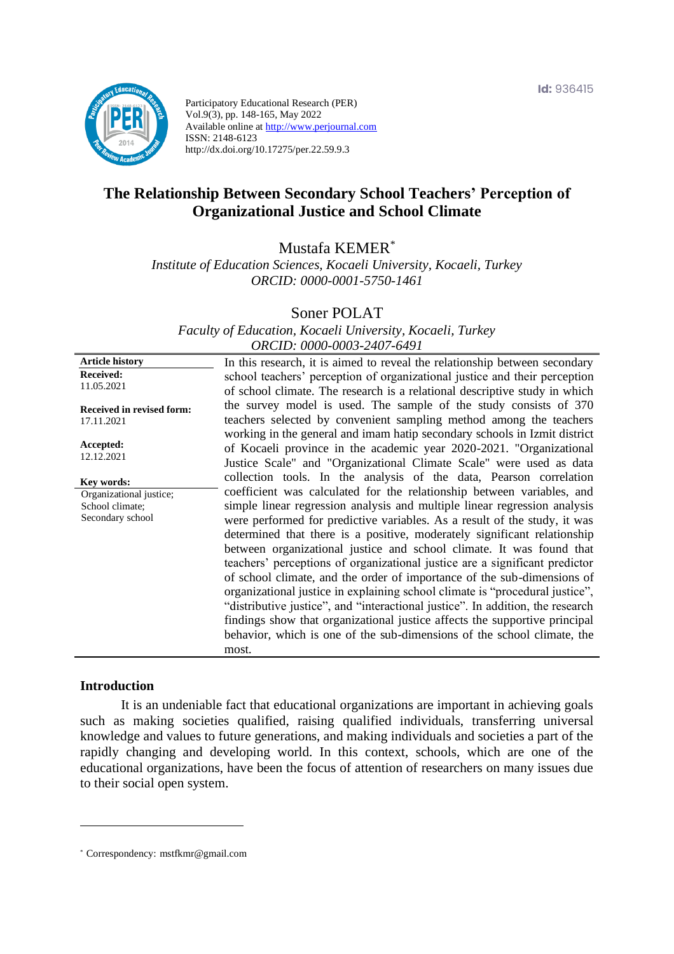

Participatory Educational Research (PER) Vol.9(3), pp. 148-165, May 2022 Available online at http://www.perjournal.com ISSN: 2148-6123 http://dx.doi.org/10.17275/per.22.59.9.3

# **The Relationship Between Secondary School Teachers' Perception of Organizational Justice and School Climate**

Mustafa KEMER\*

*Institute of Education Sciences, Kocaeli University, Kocaeli, Turkey ORCID: 0000-0001-5750-1461*

Soner POLAT

*Faculty of Education, Kocaeli University, Kocaeli, Turkey ORCID: 0000-0003-2407-6491*

**Article history Received:**  11.05.2021 **Received in revised form:**  17.11.2021 **Accepted:** 12.12.2021 In this research, it is aimed to reveal the relationship between secondary school teachers' perception of organizational justice and their perception of school climate. The research is a relational descriptive study in which the survey model is used. The sample of the study consists of 370 teachers selected by convenient sampling method among the teachers working in the general and imam hatip secondary schools in Izmit district of Kocaeli province in the academic year 2020-2021. "Organizational Justice Scale" and "Organizational Climate Scale" were used as data collection tools. In the analysis of the data, Pearson correlation coefficient was calculated for the relationship between variables, and simple linear regression analysis and multiple linear regression analysis were performed for predictive variables. As a result of the study, it was determined that there is a positive, moderately significant relationship between organizational justice and school climate. It was found that teachers' perceptions of organizational justice are a significant predictor of school climate, and the order of importance of the sub-dimensions of organizational justice in explaining school climate is "procedural justice", "distributive justice", and "interactional justice". In addition, the research findings show that organizational justice affects the supportive principal behavior, which is one of the sub-dimensions of the school climate, the most. **Key words:** Organizational justice; School climate: Secondary school

#### **Introduction**

It is an undeniable fact that educational organizations are important in achieving goals such as making societies qualified, raising qualified individuals, transferring universal knowledge and values to future generations, and making individuals and societies a part of the rapidly changing and developing world. In this context, schools, which are one of the educational organizations, have been the focus of attention of researchers on many issues due to their social open system.

<sup>\*</sup> [Correspondency:](mailto:Correspondency:) mstfkmr@gmail.com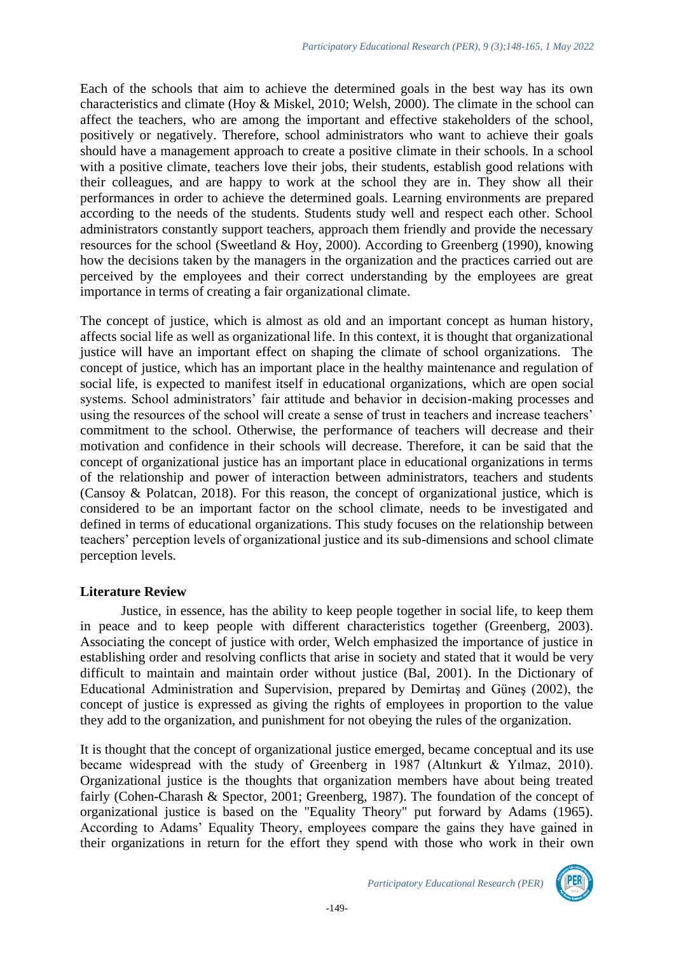Each of the schools that aim to achieve the determined goals in the best way has its own characteristics and climate (Hoy & Miskel, 2010; Welsh, 2000). The climate in the school can affect the teachers, who are among the important and effective stakeholders of the school, positively or negatively. Therefore, school administrators who want to achieve their goals should have a management approach to create a positive climate in their schools. In a school with a positive climate, teachers love their jobs, their students, establish good relations with their colleagues, and are happy to work at the school they are in. They show all their performances in order to achieve the determined goals. Learning environments are prepared according to the needs of the students. Students study well and respect each other. School administrators constantly support teachers, approach them friendly and provide the necessary resources for the school (Sweetland & Hoy, 2000). According to Greenberg (1990), knowing how the decisions taken by the managers in the organization and the practices carried out are perceived by the employees and their correct understanding by the employees are great importance in terms of creating a fair organizational climate.

The concept of justice, which is almost as old and an important concept as human history, affects social life as well as organizational life. In this context, it is thought that organizational justice will have an important effect on shaping the climate of school organizations. The concept of justice, which has an important place in the healthy maintenance and regulation of social life, is expected to manifest itself in educational organizations, which are open social systems. School administrators' fair attitude and behavior in decision-making processes and using the resources of the school will create a sense of trust in teachers and increase teachers' commitment to the school. Otherwise, the performance of teachers will decrease and their motivation and confidence in their schools will decrease. Therefore, it can be said that the concept of organizational justice has an important place in educational organizations in terms of the relationship and power of interaction between administrators, teachers and students (Cansoy & Polatcan, 2018). For this reason, the concept of organizational justice, which is considered to be an important factor on the school climate, needs to be investigated and defined in terms of educational organizations. This study focuses on the relationship between teachers' perception levels of organizational justice and its sub-dimensions and school climate perception levels.

# **Literature Review**

Justice, in essence, has the ability to keep people together in social life, to keep them in peace and to keep people with different characteristics together (Greenberg, 2003). Associating the concept of justice with order, Welch emphasized the importance of justice in establishing order and resolving conflicts that arise in society and stated that it would be very difficult to maintain and maintain order without justice (Bal, 2001). In the Dictionary of Educational Administration and Supervision, prepared by Demirtaş and Güneş (2002), the concept of justice is expressed as giving the rights of employees in proportion to the value they add to the organization, and punishment for not obeying the rules of the organization.

It is thought that the concept of organizational justice emerged, became conceptual and its use became widespread with the study of Greenberg in 1987 (Altınkurt & Yılmaz, 2010). Organizational justice is the thoughts that organization members have about being treated fairly (Cohen-Charash & Spector, 2001; Greenberg, 1987). The foundation of the concept of organizational justice is based on the "Equality Theory" put forward by Adams (1965). According to Adams' Equality Theory, employees compare the gains they have gained in their organizations in return for the effort they spend with those who work in their own

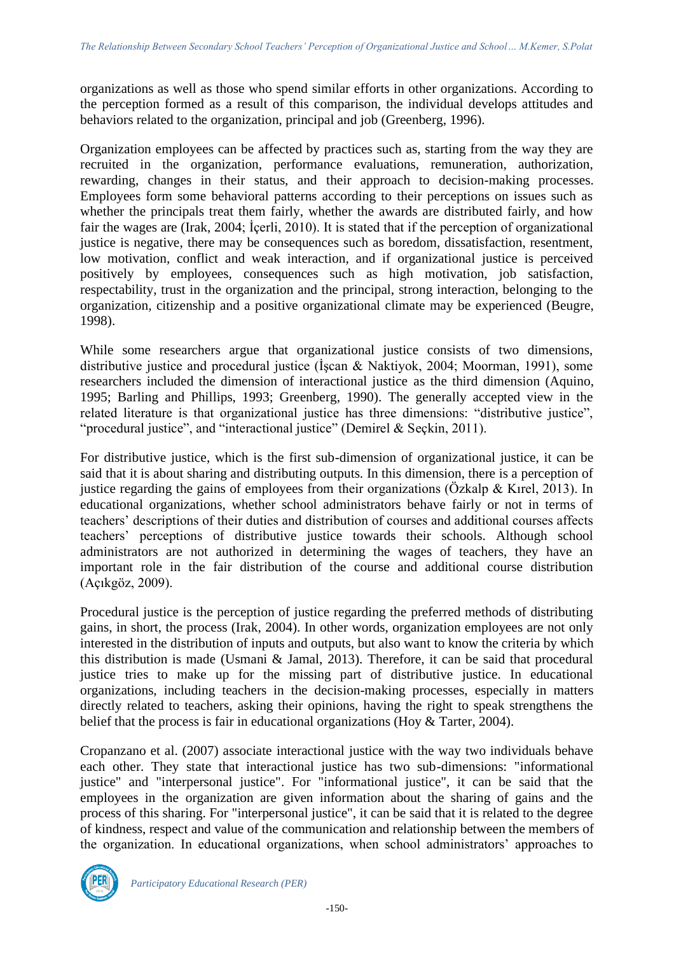organizations as well as those who spend similar efforts in other organizations. According to the perception formed as a result of this comparison, the individual develops attitudes and behaviors related to the organization, principal and job (Greenberg, 1996).

Organization employees can be affected by practices such as, starting from the way they are recruited in the organization, performance evaluations, remuneration, authorization, rewarding, changes in their status, and their approach to decision-making processes. Employees form some behavioral patterns according to their perceptions on issues such as whether the principals treat them fairly, whether the awards are distributed fairly, and how fair the wages are (Irak, 2004; İçerli, 2010). It is stated that if the perception of organizational justice is negative, there may be consequences such as boredom, dissatisfaction, resentment, low motivation, conflict and weak interaction, and if organizational justice is perceived positively by employees, consequences such as high motivation, job satisfaction, respectability, trust in the organization and the principal, strong interaction, belonging to the organization, citizenship and a positive organizational climate may be experienced (Beugre, 1998).

While some researchers argue that organizational justice consists of two dimensions, distributive justice and procedural justice (İşcan & Naktiyok, 2004; Moorman, 1991), some researchers included the dimension of interactional justice as the third dimension (Aquino, 1995; Barling and Phillips, 1993; Greenberg, 1990). The generally accepted view in the related literature is that organizational justice has three dimensions: "distributive justice", "procedural justice", and "interactional justice" (Demirel & Seçkin, 2011).

For distributive justice, which is the first sub-dimension of organizational justice, it can be said that it is about sharing and distributing outputs. In this dimension, there is a perception of justice regarding the gains of employees from their organizations (Özkalp & Kırel, 2013). In educational organizations, whether school administrators behave fairly or not in terms of teachers' descriptions of their duties and distribution of courses and additional courses affects teachers' perceptions of distributive justice towards their schools. Although school administrators are not authorized in determining the wages of teachers, they have an important role in the fair distribution of the course and additional course distribution (Açıkgöz, 2009).

Procedural justice is the perception of justice regarding the preferred methods of distributing gains, in short, the process (Irak, 2004). In other words, organization employees are not only interested in the distribution of inputs and outputs, but also want to know the criteria by which this distribution is made (Usmani & Jamal, 2013). Therefore, it can be said that procedural justice tries to make up for the missing part of distributive justice. In educational organizations, including teachers in the decision-making processes, especially in matters directly related to teachers, asking their opinions, having the right to speak strengthens the belief that the process is fair in educational organizations (Hoy & Tarter, 2004).

Cropanzano et al. (2007) associate interactional justice with the way two individuals behave each other. They state that interactional justice has two sub-dimensions: "informational justice" and "interpersonal justice". For "informational justice", it can be said that the employees in the organization are given information about the sharing of gains and the process of this sharing. For "interpersonal justice", it can be said that it is related to the degree of kindness, respect and value of the communication and relationship between the members of the organization. In educational organizations, when school administrators' approaches to

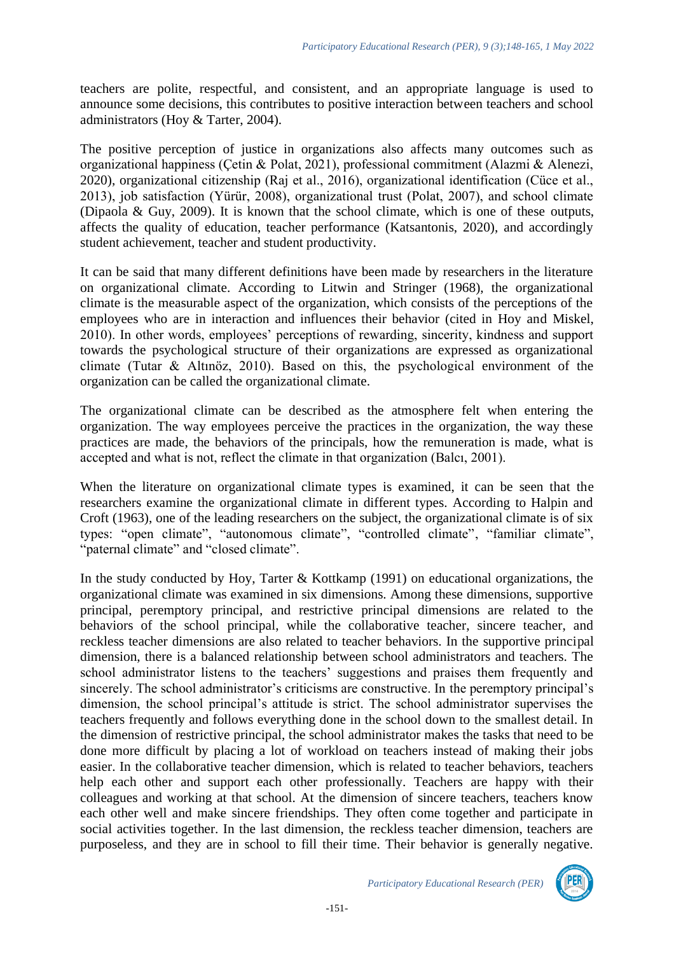teachers are polite, respectful, and consistent, and an appropriate language is used to announce some decisions, this contributes to positive interaction between teachers and school administrators (Hoy & Tarter, 2004).

The positive perception of justice in organizations also affects many outcomes such as organizational happiness (Çetin & Polat, 2021), professional commitment (Alazmi & Alenezi, 2020), organizational citizenship (Raj et al., 2016), organizational identification (Cüce et al., 2013), job satisfaction (Yürür, 2008), organizational trust (Polat, 2007), and school climate (Dipaola & Guy, 2009). It is known that the school climate, which is one of these outputs, affects the quality of education, teacher performance (Katsantonis, 2020), and accordingly student achievement, teacher and student productivity.

It can be said that many different definitions have been made by researchers in the literature on organizational climate. According to Litwin and Stringer (1968), the organizational climate is the measurable aspect of the organization, which consists of the perceptions of the employees who are in interaction and influences their behavior (cited in Hoy and Miskel, 2010). In other words, employees' perceptions of rewarding, sincerity, kindness and support towards the psychological structure of their organizations are expressed as organizational climate (Tutar & Altınöz, 2010). Based on this, the psychological environment of the organization can be called the organizational climate.

The organizational climate can be described as the atmosphere felt when entering the organization. The way employees perceive the practices in the organization, the way these practices are made, the behaviors of the principals, how the remuneration is made, what is accepted and what is not, reflect the climate in that organization (Balcı, 2001).

When the literature on organizational climate types is examined, it can be seen that the researchers examine the organizational climate in different types. According to Halpin and Croft (1963), one of the leading researchers on the subject, the organizational climate is of six types: "open climate", "autonomous climate", "controlled climate", "familiar climate", "paternal climate" and "closed climate".

In the study conducted by Hoy, Tarter & Kottkamp (1991) on educational organizations, the organizational climate was examined in six dimensions. Among these dimensions, supportive principal, peremptory principal, and restrictive principal dimensions are related to the behaviors of the school principal, while the collaborative teacher, sincere teacher, and reckless teacher dimensions are also related to teacher behaviors. In the supportive principal dimension, there is a balanced relationship between school administrators and teachers. The school administrator listens to the teachers' suggestions and praises them frequently and sincerely. The school administrator's criticisms are constructive. In the peremptory principal's dimension, the school principal's attitude is strict. The school administrator supervises the teachers frequently and follows everything done in the school down to the smallest detail. In the dimension of restrictive principal, the school administrator makes the tasks that need to be done more difficult by placing a lot of workload on teachers instead of making their jobs easier. In the collaborative teacher dimension, which is related to teacher behaviors, teachers help each other and support each other professionally. Teachers are happy with their colleagues and working at that school. At the dimension of sincere teachers, teachers know each other well and make sincere friendships. They often come together and participate in social activities together. In the last dimension, the reckless teacher dimension, teachers are purposeless, and they are in school to fill their time. Their behavior is generally negative.

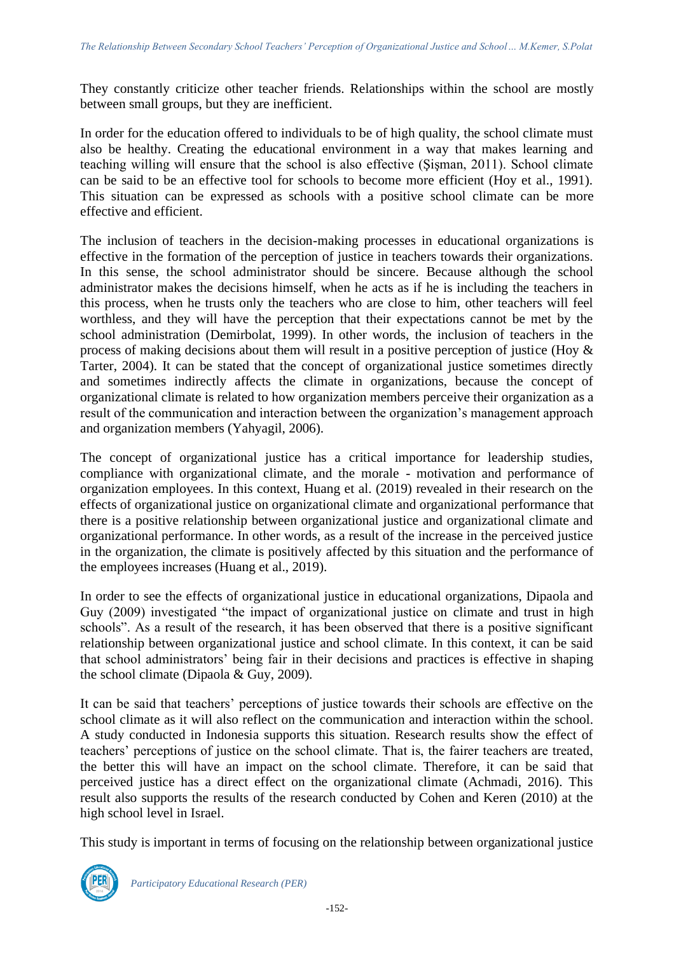They constantly criticize other teacher friends. Relationships within the school are mostly between small groups, but they are inefficient.

In order for the education offered to individuals to be of high quality, the school climate must also be healthy. Creating the educational environment in a way that makes learning and teaching willing will ensure that the school is also effective (Şişman, 2011). School climate can be said to be an effective tool for schools to become more efficient (Hoy et al., 1991). This situation can be expressed as schools with a positive school climate can be more effective and efficient.

The inclusion of teachers in the decision-making processes in educational organizations is effective in the formation of the perception of justice in teachers towards their organizations. In this sense, the school administrator should be sincere. Because although the school administrator makes the decisions himself, when he acts as if he is including the teachers in this process, when he trusts only the teachers who are close to him, other teachers will feel worthless, and they will have the perception that their expectations cannot be met by the school administration (Demirbolat, 1999). In other words, the inclusion of teachers in the process of making decisions about them will result in a positive perception of justice (Hoy & Tarter, 2004). It can be stated that the concept of organizational justice sometimes directly and sometimes indirectly affects the climate in organizations, because the concept of organizational climate is related to how organization members perceive their organization as a result of the communication and interaction between the organization's management approach and organization members (Yahyagil, 2006).

The concept of organizational justice has a critical importance for leadership studies, compliance with organizational climate, and the morale - motivation and performance of organization employees. In this context, Huang et al. (2019) revealed in their research on the effects of organizational justice on organizational climate and organizational performance that there is a positive relationship between organizational justice and organizational climate and organizational performance. In other words, as a result of the increase in the perceived justice in the organization, the climate is positively affected by this situation and the performance of the employees increases (Huang et al., 2019).

In order to see the effects of organizational justice in educational organizations, Dipaola and Guy (2009) investigated "the impact of organizational justice on climate and trust in high schools". As a result of the research, it has been observed that there is a positive significant relationship between organizational justice and school climate. In this context, it can be said that school administrators' being fair in their decisions and practices is effective in shaping the school climate (Dipaola & Guy, 2009).

It can be said that teachers' perceptions of justice towards their schools are effective on the school climate as it will also reflect on the communication and interaction within the school. A study conducted in Indonesia supports this situation. Research results show the effect of teachers' perceptions of justice on the school climate. That is, the fairer teachers are treated, the better this will have an impact on the school climate. Therefore, it can be said that perceived justice has a direct effect on the organizational climate (Achmadi, 2016). This result also supports the results of the research conducted by Cohen and Keren (2010) at the high school level in Israel.

This study is important in terms of focusing on the relationship between organizational justice

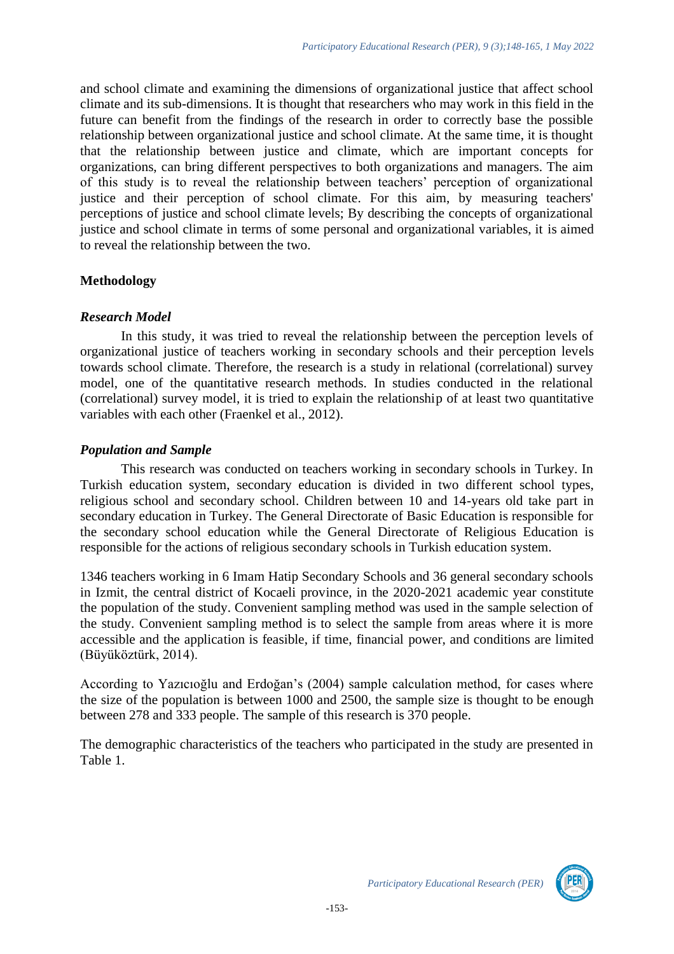and school climate and examining the dimensions of organizational justice that affect school climate and its sub-dimensions. It is thought that researchers who may work in this field in the future can benefit from the findings of the research in order to correctly base the possible relationship between organizational justice and school climate. At the same time, it is thought that the relationship between justice and climate, which are important concepts for organizations, can bring different perspectives to both organizations and managers. The aim of this study is to reveal the relationship between teachers' perception of organizational justice and their perception of school climate. For this aim, by measuring teachers' perceptions of justice and school climate levels; By describing the concepts of organizational justice and school climate in terms of some personal and organizational variables, it is aimed to reveal the relationship between the two.

# **Methodology**

### *Research Model*

In this study, it was tried to reveal the relationship between the perception levels of organizational justice of teachers working in secondary schools and their perception levels towards school climate. Therefore, the research is a study in relational (correlational) survey model, one of the quantitative research methods. In studies conducted in the relational (correlational) survey model, it is tried to explain the relationship of at least two quantitative variables with each other (Fraenkel et al., 2012).

# *Population and Sample*

This research was conducted on teachers working in secondary schools in Turkey. In Turkish education system, secondary education is divided in two different school types, religious school and secondary school. Children between 10 and 14-years old take part in secondary education in Turkey. The General Directorate of Basic Education is responsible for the secondary school education while the General Directorate of Religious Education is responsible for the actions of religious secondary schools in Turkish education system.

1346 teachers working in 6 Imam Hatip Secondary Schools and 36 general secondary schools in Izmit, the central district of Kocaeli province, in the 2020-2021 academic year constitute the population of the study. Convenient sampling method was used in the sample selection of the study. Convenient sampling method is to select the sample from areas where it is more accessible and the application is feasible, if time, financial power, and conditions are limited (Büyüköztürk, 2014).

According to Yazıcıoğlu and Erdoğan's (2004) sample calculation method, for cases where the size of the population is between 1000 and 2500, the sample size is thought to be enough between 278 and 333 people. The sample of this research is 370 people.

The demographic characteristics of the teachers who participated in the study are presented in Table 1.

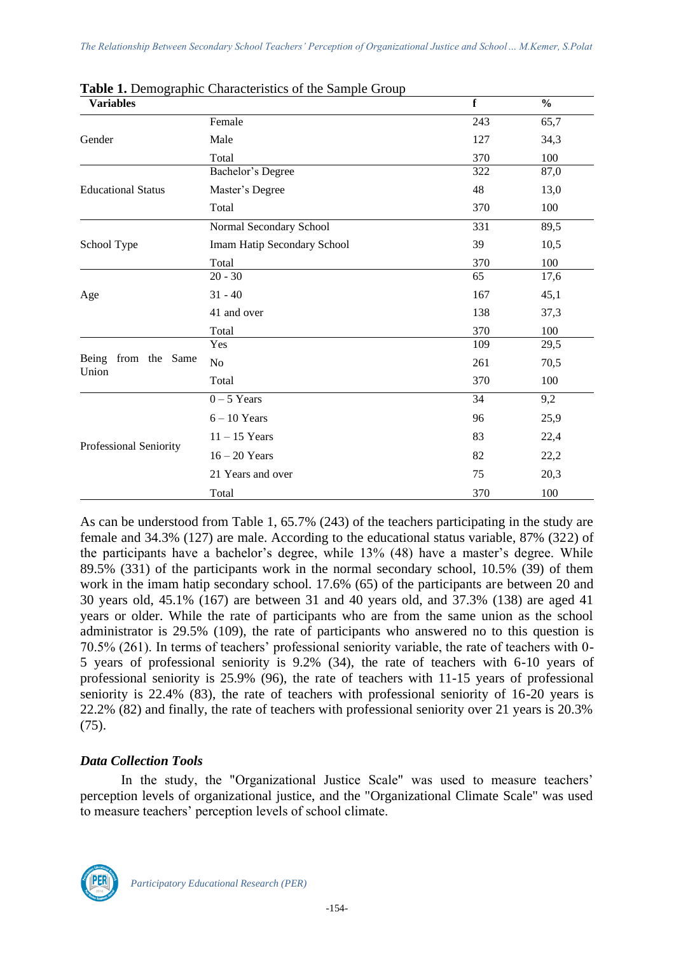| <b>Variables</b>          |                             | $\mathbf f$ | $\frac{0}{0}$ |
|---------------------------|-----------------------------|-------------|---------------|
|                           | Female                      | 243         | 65,7          |
| Gender                    | Male                        | 127         | 34,3          |
|                           | Total                       | 370         | 100           |
|                           | Bachelor's Degree           | 322         | 87,0          |
| <b>Educational Status</b> | Master's Degree             | 48          | 13,0          |
|                           | Total                       | 370         | 100           |
|                           | Normal Secondary School     | 331         | 89,5          |
| School Type               | Imam Hatip Secondary School | 39          | 10,5          |
|                           | Total                       | 370         | 100           |
|                           | $20 - 30$                   | 65          | 17,6          |
| Age                       | $31 - 40$                   | 167         | 45,1          |
|                           | 41 and over                 | 138         | 37,3          |
|                           | Total                       | 370         | 100           |
|                           | Yes                         | 109         | 29,5          |
| Being from the Same       | N <sub>o</sub>              | 261         | 70,5          |
| Union                     | Total                       | 370         | 100           |
|                           | $0 - 5$ Years               | 34          | 9,2           |
|                           | $6 - 10$ Years              | 96          | 25,9          |
|                           | $11 - 15$ Years             | 83          | 22,4          |
| Professional Seniority    | $16 - 20$ Years             | 82          | 22,2          |
|                           | 21 Years and over           | 75          | 20,3          |
|                           | Total                       | 370         | 100           |

| Table 1. Demographic Characteristics of the Sample Group |  |  |  |
|----------------------------------------------------------|--|--|--|
|                                                          |  |  |  |

As can be understood from Table 1, 65.7% (243) of the teachers participating in the study are female and 34.3% (127) are male. According to the educational status variable, 87% (322) of the participants have a bachelor's degree, while 13% (48) have a master's degree. While 89.5% (331) of the participants work in the normal secondary school, 10.5% (39) of them work in the imam hatip secondary school. 17.6% (65) of the participants are between 20 and 30 years old, 45.1% (167) are between 31 and 40 years old, and 37.3% (138) are aged 41 years or older. While the rate of participants who are from the same union as the school administrator is 29.5% (109), the rate of participants who answered no to this question is 70.5% (261). In terms of teachers' professional seniority variable, the rate of teachers with 0- 5 years of professional seniority is 9.2% (34), the rate of teachers with 6-10 years of professional seniority is 25.9% (96), the rate of teachers with 11-15 years of professional seniority is 22.4% (83), the rate of teachers with professional seniority of 16-20 years is 22.2% (82) and finally, the rate of teachers with professional seniority over 21 years is 20.3% (75).

# *Data Collection Tools*

In the study, the "Organizational Justice Scale" was used to measure teachers' perception levels of organizational justice, and the "Organizational Climate Scale" was used to measure teachers' perception levels of school climate.

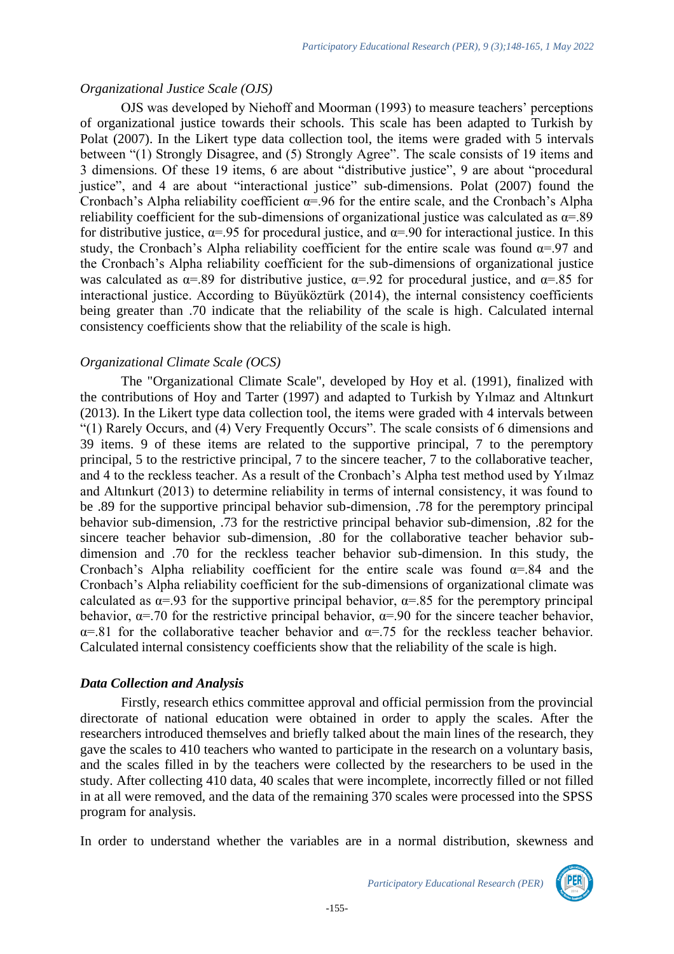#### *Organizational Justice Scale (OJS)*

OJS was developed by Niehoff and Moorman (1993) to measure teachers' perceptions of organizational justice towards their schools. This scale has been adapted to Turkish by Polat (2007). In the Likert type data collection tool, the items were graded with 5 intervals between "(1) Strongly Disagree, and (5) Strongly Agree". The scale consists of 19 items and 3 dimensions. Of these 19 items, 6 are about "distributive justice", 9 are about "procedural justice", and 4 are about "interactional justice" sub-dimensions. Polat (2007) found the Cronbach's Alpha reliability coefficient  $\alpha$ =.96 for the entire scale, and the Cronbach's Alpha reliability coefficient for the sub-dimensions of organizational justice was calculated as  $\alpha = .89$ for distributive justice,  $\alpha = 0.95$  for procedural justice, and  $\alpha = 0.90$  for interactional justice. In this study, the Cronbach's Alpha reliability coefficient for the entire scale was found  $\alpha = 97$  and the Cronbach's Alpha reliability coefficient for the sub-dimensions of organizational justice was calculated as  $\alpha = .89$  for distributive justice,  $\alpha = .92$  for procedural justice, and  $\alpha = .85$  for interactional justice. According to Büyüköztürk (2014), the internal consistency coefficients being greater than .70 indicate that the reliability of the scale is high. Calculated internal consistency coefficients show that the reliability of the scale is high.

### *Organizational Climate Scale (OCS)*

The "Organizational Climate Scale", developed by Hoy et al. (1991), finalized with the contributions of Hoy and Tarter (1997) and adapted to Turkish by Yılmaz and Altınkurt (2013). In the Likert type data collection tool, the items were graded with 4 intervals between "(1) Rarely Occurs, and (4) Very Frequently Occurs". The scale consists of 6 dimensions and 39 items. 9 of these items are related to the supportive principal, 7 to the peremptory principal, 5 to the restrictive principal, 7 to the sincere teacher, 7 to the collaborative teacher, and 4 to the reckless teacher. As a result of the Cronbach's Alpha test method used by Yılmaz and Altınkurt (2013) to determine reliability in terms of internal consistency, it was found to be .89 for the supportive principal behavior sub-dimension, .78 for the peremptory principal behavior sub-dimension, .73 for the restrictive principal behavior sub-dimension, .82 for the sincere teacher behavior sub-dimension, .80 for the collaborative teacher behavior subdimension and .70 for the reckless teacher behavior sub-dimension. In this study, the Cronbach's Alpha reliability coefficient for the entire scale was found  $\alpha$ =.84 and the Cronbach's Alpha reliability coefficient for the sub-dimensions of organizational climate was calculated as  $\alpha = .93$  for the supportive principal behavior,  $\alpha = .85$  for the peremptory principal behavior,  $\alpha$ =.70 for the restrictive principal behavior,  $\alpha$ =.90 for the sincere teacher behavior,  $\alpha$ =.81 for the collaborative teacher behavior and  $\alpha$ =.75 for the reckless teacher behavior. Calculated internal consistency coefficients show that the reliability of the scale is high.

#### *Data Collection and Analysis*

Firstly, research ethics committee approval and official permission from the provincial directorate of national education were obtained in order to apply the scales. After the researchers introduced themselves and briefly talked about the main lines of the research, they gave the scales to 410 teachers who wanted to participate in the research on a voluntary basis, and the scales filled in by the teachers were collected by the researchers to be used in the study. After collecting 410 data, 40 scales that were incomplete, incorrectly filled or not filled in at all were removed, and the data of the remaining 370 scales were processed into the SPSS program for analysis.

In order to understand whether the variables are in a normal distribution, skewness and

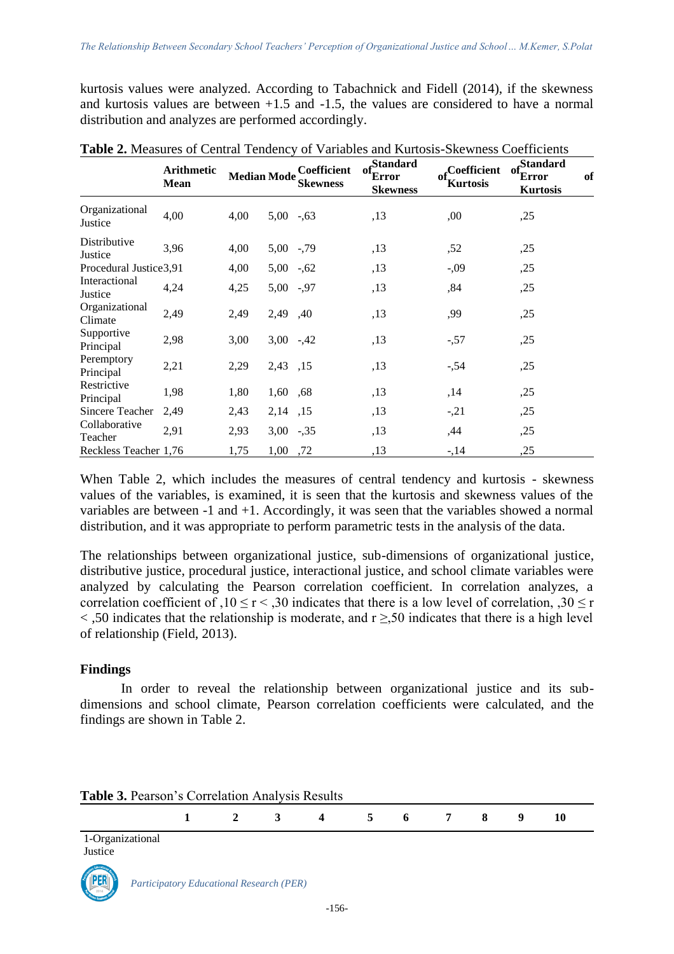kurtosis values were analyzed. According to Tabachnick and Fidell (2014), if the skewness and kurtosis values are between +1.5 and -1.5, the values are considered to have a normal distribution and analyzes are performed accordingly.

|                           | Arithmetic<br><b>Mean</b> | <b>Median Mode</b> |              | Coefficient<br><b>Skewness</b> | Standard<br>of.<br>Error<br><b>Skewness</b> | $of_{\tau\tau}$ Coefficient<br>Kurtosis | Standard<br>-o1<br>Error<br><b>Kurtosis</b> | of |
|---------------------------|---------------------------|--------------------|--------------|--------------------------------|---------------------------------------------|-----------------------------------------|---------------------------------------------|----|
| Organizational<br>Justice | 4,00                      | 4,00               | $5,00-.63$   |                                | ,13                                         | ,00                                     | ,25                                         |    |
| Distributive<br>Justice   | 3,96                      | 4,00               | $5,00$ -, 79 |                                | ,13                                         | ,52                                     | ,25                                         |    |
| Procedural Justice 3,91   |                           | 4,00               | $5,00-.62$   |                                | ,13                                         | $-0.09$                                 | ,25                                         |    |
| Interactional<br>Justice  | 4,24                      | 4,25               | $5,00$ -,97  |                                | , 13                                        | ,84                                     | ,25                                         |    |
| Organizational<br>Climate | 2,49                      | 2,49               | 2,49 ,40     |                                | ,13                                         | ,99                                     | ,25                                         |    |
| Supportive<br>Principal   | 2,98                      | 3,00               | $3,00 -42$   |                                | ,13                                         | $-57$                                   | ,25                                         |    |
| Peremptory<br>Principal   | 2,21                      | 2,29               | 2,43 ,15     |                                | ,13                                         | $-54$                                   | ,25                                         |    |
| Restrictive<br>Principal  | 1,98                      | 1,80               | 1,60 ,68     |                                | ,13                                         | ,14                                     | ,25                                         |    |
| Sincere Teacher           | 2,49                      | 2,43               | 2,14 ,15     |                                | ,13                                         | $-21$                                   | ,25                                         |    |
| Collaborative<br>Teacher  | 2,91                      | 2,93               | $3,00$ -, 35 |                                | ,13                                         | ,44                                     | ,25                                         |    |
| Reckless Teacher 1,76     |                           | 1,75               | 1,00 ,72     |                                | ,13                                         | $-14$                                   | ,25                                         |    |

**Table 2.** Measures of Central Tendency of Variables and Kurtosis-Skewness Coefficients

When Table 2, which includes the measures of central tendency and kurtosis - skewness values of the variables, is examined, it is seen that the kurtosis and skewness values of the variables are between -1 and +1. Accordingly, it was seen that the variables showed a normal distribution, and it was appropriate to perform parametric tests in the analysis of the data.

The relationships between organizational justice, sub-dimensions of organizational justice, distributive justice, procedural justice, interactional justice, and school climate variables were analyzed by calculating the Pearson correlation coefficient. In correlation analyzes, a correlation coefficient of ,10  $\leq$  r  $\leq$  ,30 indicates that there is a low level of correlation, ,30  $\leq$  r  $\le$ ,50 indicates that the relationship is moderate, and r  $\ge$ ,50 indicates that there is a high level of relationship (Field, 2013).

### **Findings**

In order to reveal the relationship between organizational justice and its subdimensions and school climate, Pearson correlation coefficients were calculated, and the findings are shown in Table 2.

| <b>Table 3. Pearson's Correlation Analysis Results</b> |  |                                     |  |  |      |
|--------------------------------------------------------|--|-------------------------------------|--|--|------|
|                                                        |  | $1 \t2 \t3 \t4 \t5 \t6 \t7 \t8 \t9$ |  |  | - 10 |

| 1-Organizational |  |
|------------------|--|
| Justice          |  |

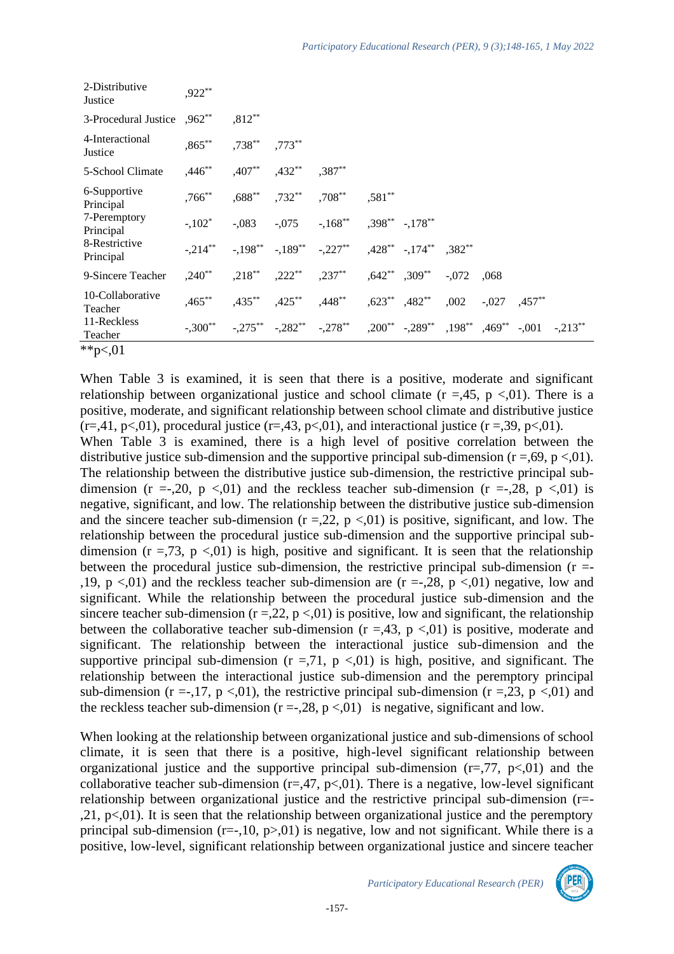| 2-Distributive<br>Justice   | $.922**$    |           |                                |                                                                                     |                       |         |                   |           |           |
|-----------------------------|-------------|-----------|--------------------------------|-------------------------------------------------------------------------------------|-----------------------|---------|-------------------|-----------|-----------|
| 3-Procedural Justice ,962** |             | $,812**$  |                                |                                                                                     |                       |         |                   |           |           |
| 4-Interactional<br>Justice  | $,865***$   | $.738***$ | $,773***$                      |                                                                                     |                       |         |                   |           |           |
| 5-School Climate            | $,446***$   | $,407***$ | $,432***$                      | $,387***$                                                                           |                       |         |                   |           |           |
| 6-Supportive<br>Principal   | $.766^{**}$ |           | $0.688***$ $0.732**$ $0.708**$ |                                                                                     | $,581**$              |         |                   |           |           |
| 7-Peremptory<br>Principal   | $-.102*$    | $-0.083$  |                                | $-0.075$ $-0.168$ ** $0.398$ ** $-0.178$ **                                         |                       |         |                   |           |           |
| 8-Restrictive<br>Principal  | $-.214***$  |           |                                | $-198^{**}$ $-189^{**}$ $-227^{**}$ $-428^{**}$ $-174^{**}$ $-382^{**}$             |                       |         |                   |           |           |
| 9-Sincere Teacher           | $,240^{**}$ | $,218***$ |                                | $,222^{**}$ $,237^{**}$                                                             | $,642^*$ , $309^{**}$ | $-.072$ | .068              |           |           |
| 10-Collaborative<br>Teacher | $,465***$   |           |                                | $,435^{**}$ $,425^{**}$ $,448^{**}$ $,623^{**}$ $,482^{**}$                         |                       |         | $,002 \quad -027$ | $,457***$ |           |
| 11-Reckless<br>Teacher      | $-300**$    |           |                                | $-275^{**}$ $-282^{**}$ $-278^{**}$ $-200^{**}$ $-289^{**}$ $-198^{**}$ $-469^{**}$ |                       |         |                   | $-.001$   | $-.213**$ |
| 44.701                      |             |           |                                |                                                                                     |                       |         |                   |           |           |

\*\*p<,01

When Table 3 is examined, it is seen that there is a positive, moderate and significant relationship between organizational justice and school climate ( $r = 45$ ,  $p < 01$ ). There is a positive, moderate, and significant relationship between school climate and distributive justice  $(r=41, p<0.01)$ , procedural justice  $(r=43, p<0.01)$ , and interactional justice  $(r=39, p<0.01)$ .

When Table 3 is examined, there is a high level of positive correlation between the distributive justice sub-dimension and the supportive principal sub-dimension ( $r = 69$ ,  $p < 01$ ). The relationship between the distributive justice sub-dimension, the restrictive principal subdimension (r =-,20, p <,01) and the reckless teacher sub-dimension (r =-,28, p <,01) is negative, significant, and low. The relationship between the distributive justice sub-dimension and the sincere teacher sub-dimension ( $r = 22$ ,  $p < 01$ ) is positive, significant, and low. The relationship between the procedural justice sub-dimension and the supportive principal subdimension  $(r = 73, p < 0.01)$  is high, positive and significant. It is seen that the relationship between the procedural justice sub-dimension, the restrictive principal sub-dimension  $(r =$ ,19, p  $\langle 0.01 \rangle$  and the reckless teacher sub-dimension are (r =-,28, p  $\langle 0.01 \rangle$ ) negative, low and significant. While the relationship between the procedural justice sub-dimension and the sincere teacher sub-dimension ( $r = 0.22$ ,  $p < 0.01$ ) is positive, low and significant, the relationship between the collaborative teacher sub-dimension  $(r = 43, p < 01)$  is positive, moderate and significant. The relationship between the interactional justice sub-dimension and the supportive principal sub-dimension  $(r = 71, p < 0.01)$  is high, positive, and significant. The relationship between the interactional justice sub-dimension and the peremptory principal sub-dimension (r =-,17, p <,01), the restrictive principal sub-dimension (r =,23, p <,01) and the reckless teacher sub-dimension  $(r = -0.28, p < 0.01)$  is negative, significant and low.

When looking at the relationship between organizational justice and sub-dimensions of school climate, it is seen that there is a positive, high-level significant relationship between organizational justice and the supportive principal sub-dimension  $(r=0.77, p<0.01)$  and the collaborative teacher sub-dimension  $(r=47, p<0.01)$ . There is a negative, low-level significant relationship between organizational justice and the restrictive principal sub-dimension (r=-  $,21, p<0$ . It is seen that the relationship between organizational justice and the peremptory principal sub-dimension ( $r=-10$ ,  $p>01$ ) is negative, low and not significant. While there is a positive, low-level, significant relationship between organizational justice and sincere teacher

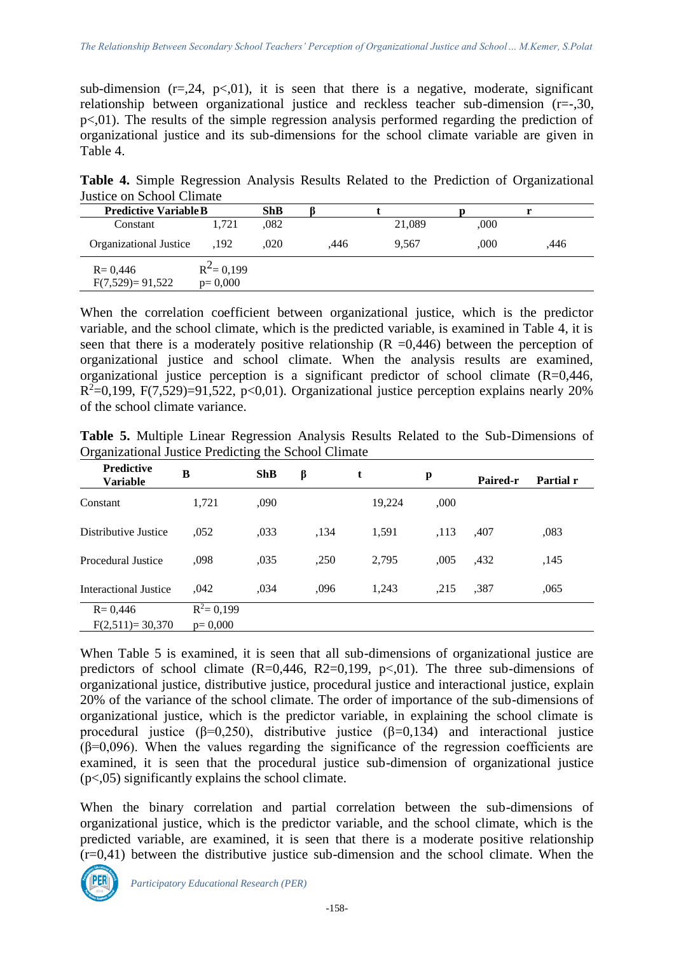sub-dimension  $(r=.24, p<.01)$ , it is seen that there is a negative, moderate, significant relationship between organizational justice and reckless teacher sub-dimension (r=-,30, p<,01). The results of the simple regression analysis performed regarding the prediction of organizational justice and its sub-dimensions for the school climate variable are given in Table 4.

**Table 4.** Simple Regression Analysis Results Related to the Prediction of Organizational Justice on School Climate

| <b>Predictive Variable B</b>       | ShB                        |      |      |        |      |      |
|------------------------------------|----------------------------|------|------|--------|------|------|
| Constant                           | 1.721                      | .082 |      | 21,089 | ,000 |      |
| Organizational Justice             | .192                       | .020 | .446 | 9.567  | .000 | .446 |
| $R = 0,446$<br>$F(7,529) = 91,522$ | $R^2$ = 0,199<br>$p=0,000$ |      |      |        |      |      |

When the correlation coefficient between organizational justice, which is the predictor variable, and the school climate, which is the predicted variable, is examined in Table 4, it is seen that there is a moderately positive relationship  $(R = 0.446)$  between the perception of organizational justice and school climate. When the analysis results are examined, organizational justice perception is a significant predictor of school climate (R=0,446,  $R<sup>2</sup>=0,199, F(7,529)=91,522, p<0,01$ ). Organizational justice perception explains nearly 20% of the school climate variance.

| Organizational Justice Predicting the School Climate |               |            |      |        |      |                 |           |
|------------------------------------------------------|---------------|------------|------|--------|------|-----------------|-----------|
| <b>Predictive</b><br><b>Variable</b>                 | B             | <b>ShB</b> | β    | t      | p    | <b>Paired-r</b> | Partial r |
| Constant                                             | 1.721         | ,090       |      | 19.224 | ,000 |                 |           |
| Distributive Justice                                 | ,052          | ,033       | ,134 | 1,591  | ,113 | ,407            | ,083      |
| Procedural Justice                                   | ,098          | ,035       | ,250 | 2,795  | ,005 | ,432            | ,145      |
| Interactional Justice                                | .042          | ,034       | .096 | 1,243  | ,215 | .387            | ,065      |
| $R = 0,446$                                          | $R^2 = 0,199$ |            |      |        |      |                 |           |
| $F(2,511)=30,370$                                    | $p=0,000$     |            |      |        |      |                 |           |

**Table 5.** Multiple Linear Regression Analysis Results Related to the Sub-Dimensions of Organizational Justice Predicting the School Climate

When Table 5 is examined, it is seen that all sub-dimensions of organizational justice are predictors of school climate  $(R=0,446, R2=0,199, p<0.1)$ . The three sub-dimensions of organizational justice, distributive justice, procedural justice and interactional justice, explain 20% of the variance of the school climate. The order of importance of the sub-dimensions of organizational justice, which is the predictor variable, in explaining the school climate is procedural justice ( $\beta$ =0,250), distributive justice ( $\beta$ =0,134) and interactional justice  $(\beta=0.096)$ . When the values regarding the significance of the regression coefficients are examined, it is seen that the procedural justice sub-dimension of organizational justice  $(p<0.05)$  significantly explains the school climate.

When the binary correlation and partial correlation between the sub-dimensions of organizational justice, which is the predictor variable, and the school climate, which is the predicted variable, are examined, it is seen that there is a moderate positive relationship  $(r=0.41)$  between the distributive justice sub-dimension and the school climate. When the

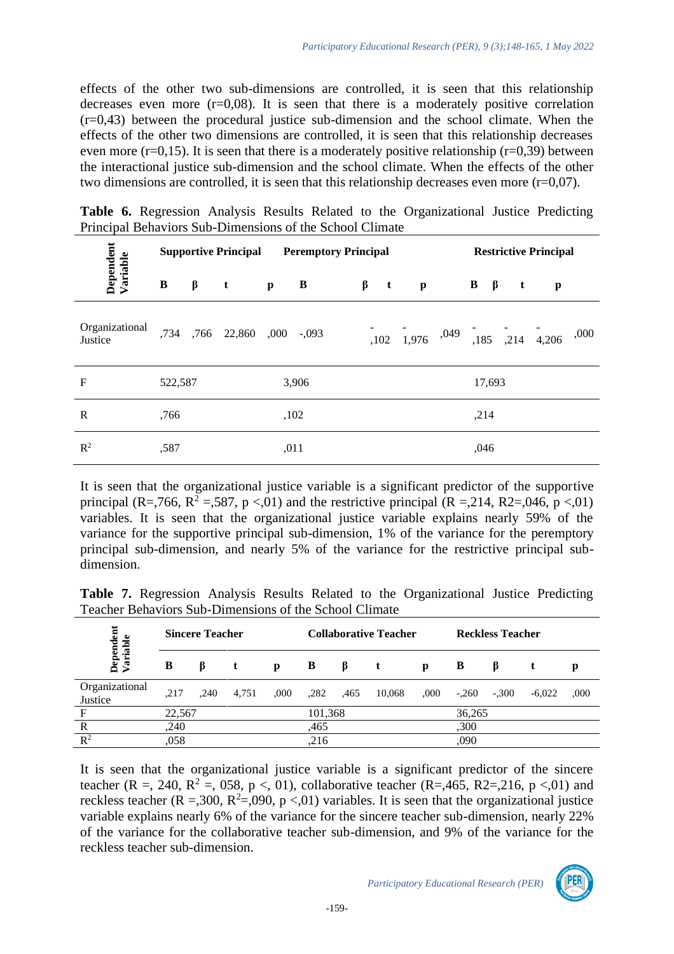effects of the other two sub-dimensions are controlled, it is seen that this relationship decreases even more  $(r=0.08)$ . It is seen that there is a moderately positive correlation  $(r=0.43)$  between the procedural justice sub-dimension and the school climate. When the effects of the other two dimensions are controlled, it is seen that this relationship decreases even more ( $r=0,15$ ). It is seen that there is a moderately positive relationship ( $r=0,39$ ) between the interactional justice sub-dimension and the school climate. When the effects of the other two dimensions are controlled, it is seen that this relationship decreases even more  $(r=0.07)$ .

**Table 6.** Regression Analysis Results Related to the Organizational Justice Predicting Principal Behaviors Sub-Dimensions of the School Climate

|                           |         |         | <b>Supportive Principal</b> |                | <b>Peremptory Principal</b> |         |              |                                                                                                                   |  |                                   | <b>Restrictive Principal</b> |              |              |      |  |
|---------------------------|---------|---------|-----------------------------|----------------|-----------------------------|---------|--------------|-------------------------------------------------------------------------------------------------------------------|--|-----------------------------------|------------------------------|--------------|--------------|------|--|
| Dependent<br>Variable     | B       | $\beta$ | $\mathbf{t}$                | $\mathbf{p}$ B |                             | $\beta$ | $\mathbf{t}$ | $\mathbf{p}$                                                                                                      |  | $\mathbf{B}$ $\boldsymbol{\beta}$ |                              | $\mathbf{t}$ | $\mathbf{p}$ |      |  |
| Organizational<br>Justice |         |         | ,734, ,766 22,860 ,000 ,093 |                |                             |         |              | $\begin{bmatrix} 102 & 1.976 & 0.049 \end{bmatrix}$ $\begin{bmatrix} 0.49 & 0.185 & 0.214 & 0.4206 \end{bmatrix}$ |  |                                   |                              |              |              | ,000 |  |
| $\mathbf F$               | 522,587 |         |                             |                | 3,906                       |         |              |                                                                                                                   |  |                                   | 17,693                       |              |              |      |  |
| R                         | .766    |         |                             |                | ,102                        |         |              |                                                                                                                   |  | ,214                              |                              |              |              |      |  |
| $R^2$                     | ,587    |         |                             | ,011           |                             |         |              |                                                                                                                   |  | ,046                              |                              |              |              |      |  |

It is seen that the organizational justice variable is a significant predictor of the supportive principal (R=,766, R<sup>2</sup> =,587, p <,01) and the restrictive principal (R =,214, R2=,046, p <,01) variables. It is seen that the organizational justice variable explains nearly 59% of the variance for the supportive principal sub-dimension, 1% of the variance for the peremptory principal sub-dimension, and nearly 5% of the variance for the restrictive principal subdimension.

**Table 7.** Regression Analysis Results Related to the Organizational Justice Predicting Teacher Behaviors Sub-Dimensions of the School Climate

| Dependent<br>Variable     |        | <b>Sincere Teacher</b> |       |      |      |         | <b>Collaborative Teacher</b> |      | <b>Reckless Teacher</b> |         |          |      |  |
|---------------------------|--------|------------------------|-------|------|------|---------|------------------------------|------|-------------------------|---------|----------|------|--|
|                           | В      | В.                     |       | p    | B    | В       |                              | p    | B                       | ĸ       |          |      |  |
| Organizational<br>Justice | .217   | .240                   | 4,751 | .000 | ,282 | .465    | 10,068                       | .000 | $-.260$                 | $-.300$ | $-6,022$ | ,000 |  |
| $\mathbf{F}$              | 22,567 |                        |       |      |      | 101,368 |                              |      |                         | 36,265  |          |      |  |
| $\mathbb{R}$              | ,240   |                        |       |      | .465 |         |                              |      |                         | ,300    |          |      |  |
| $\mathbb{R}^2$            | ,058   |                        |       |      | .216 |         |                              |      | ,090                    |         |          |      |  |

It is seen that the organizational justice variable is a significant predictor of the sincere teacher (R =, 240, R<sup>2</sup> =, 058, p <, 01), collaborative teacher (R=,465, R2=,216, p <,01) and reckless teacher ( $R = 0.300$ ,  $R^2 = 0.090$ ,  $p < 0.01$ ) variables. It is seen that the organizational justice variable explains nearly 6% of the variance for the sincere teacher sub-dimension, nearly 22% of the variance for the collaborative teacher sub-dimension, and 9% of the variance for the reckless teacher sub-dimension.

*Participatory Educational Research (PER)*

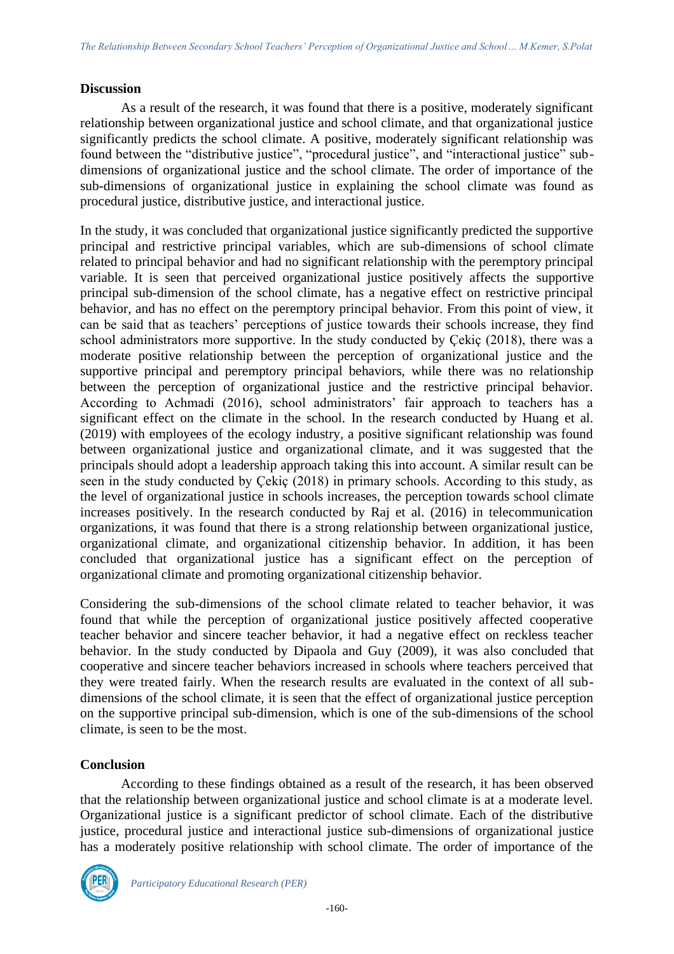### **Discussion**

As a result of the research, it was found that there is a positive, moderately significant relationship between organizational justice and school climate, and that organizational justice significantly predicts the school climate. A positive, moderately significant relationship was found between the "distributive justice", "procedural justice", and "interactional justice" subdimensions of organizational justice and the school climate. The order of importance of the sub-dimensions of organizational justice in explaining the school climate was found as procedural justice, distributive justice, and interactional justice.

In the study, it was concluded that organizational justice significantly predicted the supportive principal and restrictive principal variables, which are sub-dimensions of school climate related to principal behavior and had no significant relationship with the peremptory principal variable. It is seen that perceived organizational justice positively affects the supportive principal sub-dimension of the school climate, has a negative effect on restrictive principal behavior, and has no effect on the peremptory principal behavior. From this point of view, it can be said that as teachers' perceptions of justice towards their schools increase, they find school administrators more supportive. In the study conducted by Çekiç (2018), there was a moderate positive relationship between the perception of organizational justice and the supportive principal and peremptory principal behaviors, while there was no relationship between the perception of organizational justice and the restrictive principal behavior. According to Achmadi (2016), school administrators' fair approach to teachers has a significant effect on the climate in the school. In the research conducted by Huang et al. (2019) with employees of the ecology industry, a positive significant relationship was found between organizational justice and organizational climate, and it was suggested that the principals should adopt a leadership approach taking this into account. A similar result can be seen in the study conducted by Çekiç (2018) in primary schools. According to this study, as the level of organizational justice in schools increases, the perception towards school climate increases positively. In the research conducted by Raj et al. (2016) in telecommunication organizations, it was found that there is a strong relationship between organizational justice, organizational climate, and organizational citizenship behavior. In addition, it has been concluded that organizational justice has a significant effect on the perception of organizational climate and promoting organizational citizenship behavior.

Considering the sub-dimensions of the school climate related to teacher behavior, it was found that while the perception of organizational justice positively affected cooperative teacher behavior and sincere teacher behavior, it had a negative effect on reckless teacher behavior. In the study conducted by Dipaola and Guy (2009), it was also concluded that cooperative and sincere teacher behaviors increased in schools where teachers perceived that they were treated fairly. When the research results are evaluated in the context of all subdimensions of the school climate, it is seen that the effect of organizational justice perception on the supportive principal sub-dimension, which is one of the sub-dimensions of the school climate, is seen to be the most.

# **Conclusion**

According to these findings obtained as a result of the research, it has been observed that the relationship between organizational justice and school climate is at a moderate level. Organizational justice is a significant predictor of school climate. Each of the distributive justice, procedural justice and interactional justice sub-dimensions of organizational justice has a moderately positive relationship with school climate. The order of importance of the

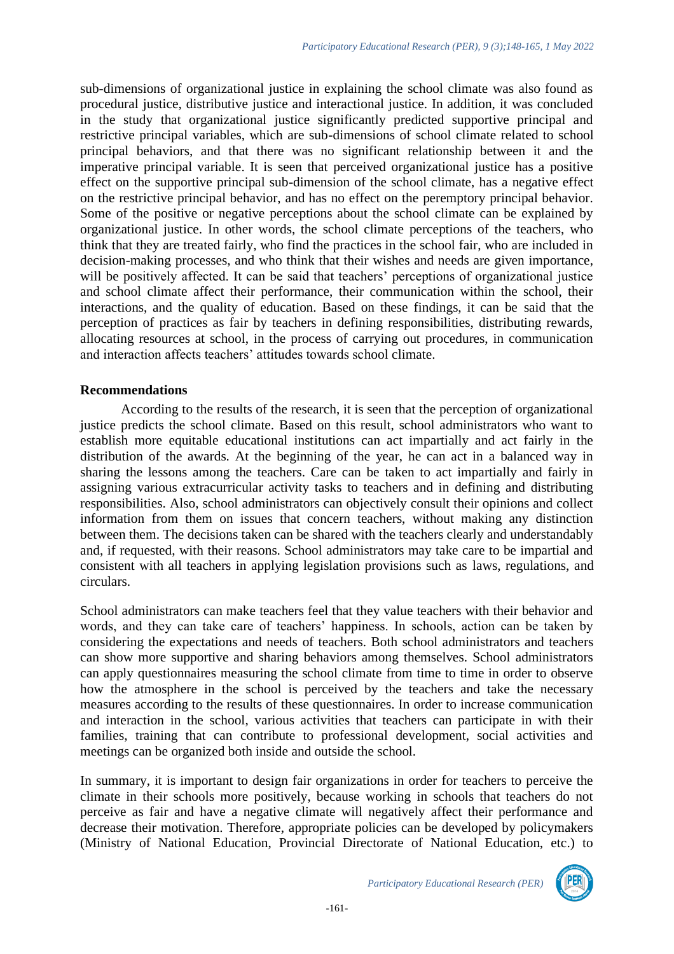sub-dimensions of organizational justice in explaining the school climate was also found as procedural justice, distributive justice and interactional justice. In addition, it was concluded in the study that organizational justice significantly predicted supportive principal and restrictive principal variables, which are sub-dimensions of school climate related to school principal behaviors, and that there was no significant relationship between it and the imperative principal variable. It is seen that perceived organizational justice has a positive effect on the supportive principal sub-dimension of the school climate, has a negative effect on the restrictive principal behavior, and has no effect on the peremptory principal behavior. Some of the positive or negative perceptions about the school climate can be explained by organizational justice. In other words, the school climate perceptions of the teachers, who think that they are treated fairly, who find the practices in the school fair, who are included in decision-making processes, and who think that their wishes and needs are given importance, will be positively affected. It can be said that teachers' perceptions of organizational justice and school climate affect their performance, their communication within the school, their interactions, and the quality of education. Based on these findings, it can be said that the perception of practices as fair by teachers in defining responsibilities, distributing rewards, allocating resources at school, in the process of carrying out procedures, in communication and interaction affects teachers' attitudes towards school climate.

#### **Recommendations**

According to the results of the research, it is seen that the perception of organizational justice predicts the school climate. Based on this result, school administrators who want to establish more equitable educational institutions can act impartially and act fairly in the distribution of the awards. At the beginning of the year, he can act in a balanced way in sharing the lessons among the teachers. Care can be taken to act impartially and fairly in assigning various extracurricular activity tasks to teachers and in defining and distributing responsibilities. Also, school administrators can objectively consult their opinions and collect information from them on issues that concern teachers, without making any distinction between them. The decisions taken can be shared with the teachers clearly and understandably and, if requested, with their reasons. School administrators may take care to be impartial and consistent with all teachers in applying legislation provisions such as laws, regulations, and circulars.

School administrators can make teachers feel that they value teachers with their behavior and words, and they can take care of teachers' happiness. In schools, action can be taken by considering the expectations and needs of teachers. Both school administrators and teachers can show more supportive and sharing behaviors among themselves. School administrators can apply questionnaires measuring the school climate from time to time in order to observe how the atmosphere in the school is perceived by the teachers and take the necessary measures according to the results of these questionnaires. In order to increase communication and interaction in the school, various activities that teachers can participate in with their families, training that can contribute to professional development, social activities and meetings can be organized both inside and outside the school.

In summary, it is important to design fair organizations in order for teachers to perceive the climate in their schools more positively, because working in schools that teachers do not perceive as fair and have a negative climate will negatively affect their performance and decrease their motivation. Therefore, appropriate policies can be developed by policymakers (Ministry of National Education, Provincial Directorate of National Education, etc.) to

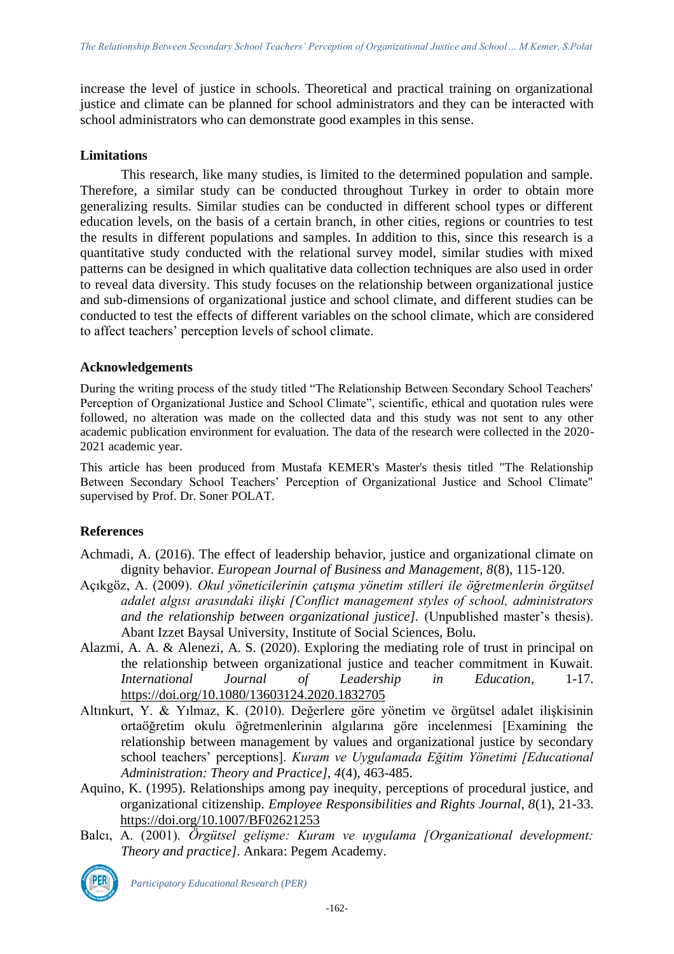increase the level of justice in schools. Theoretical and practical training on organizational justice and climate can be planned for school administrators and they can be interacted with school administrators who can demonstrate good examples in this sense.

### **Limitations**

This research, like many studies, is limited to the determined population and sample. Therefore, a similar study can be conducted throughout Turkey in order to obtain more generalizing results. Similar studies can be conducted in different school types or different education levels, on the basis of a certain branch, in other cities, regions or countries to test the results in different populations and samples. In addition to this, since this research is a quantitative study conducted with the relational survey model, similar studies with mixed patterns can be designed in which qualitative data collection techniques are also used in order to reveal data diversity. This study focuses on the relationship between organizational justice and sub-dimensions of organizational justice and school climate, and different studies can be conducted to test the effects of different variables on the school climate, which are considered to affect teachers' perception levels of school climate.

# **Acknowledgements**

During the writing process of the study titled "The Relationship Between Secondary School Teachers' Perception of Organizational Justice and School Climate", scientific, ethical and quotation rules were followed, no alteration was made on the collected data and this study was not sent to any other academic publication environment for evaluation. The data of the research were collected in the 2020- 2021 academic year.

This article has been produced from Mustafa KEMER's Master's thesis titled "The Relationship Between Secondary School Teachers' Perception of Organizational Justice and School Climate" supervised by Prof. Dr. Soner POLAT.

# **References**

- Achmadi, A. (2016). The effect of leadership behavior, justice and organizational climate on dignity behavior. *European Journal of Business and Management, 8*(8), 115-120.
- Açıkgöz, A. (2009). *Okul yöneticilerinin çatışma yönetim stilleri ile öğretmenlerin örgütsel adalet algısı arasındaki ilişki [Conflict management styles of school, administrators and the relationship between organizational justice].* (Unpublished master's thesis). Abant Izzet Baysal University, Institute of Social Sciences, Bolu.
- Alazmi, A. A. & Alenezi, A. S. (2020). Exploring the mediating role of trust in principal on the relationship between organizational justice and teacher commitment in Kuwait. *International Journal of Leadership in Education*, 1-17. <https://doi.org/10.1080/13603124.2020.1832705>
- Altınkurt, Y. & Yılmaz, K. (2010). Değerlere göre yönetim ve örgütsel adalet ilişkisinin ortaöğretim okulu öğretmenlerinin algılarına göre incelenmesi [Examining the relationship between management by values and organizational justice by secondary school teachers' perceptions]. *Kuram ve Uygulamada Eğitim Yönetimi [Educational Administration: Theory and Practice], 4*(4), 463-485.
- Aquino, K. (1995). Relationships among pay inequity, perceptions of procedural justice, and organizational citizenship. *Employee Responsibilities and Rights Journal, 8*(1), 21-33. <https://doi.org/10.1007/BF02621253>
- Balcı, A. (2001). *Örgütsel gelişme: Kuram ve uygulama [Organizational development: Theory and practice]*. Ankara: Pegem Academy.



*Participatory Educational Research (PER)*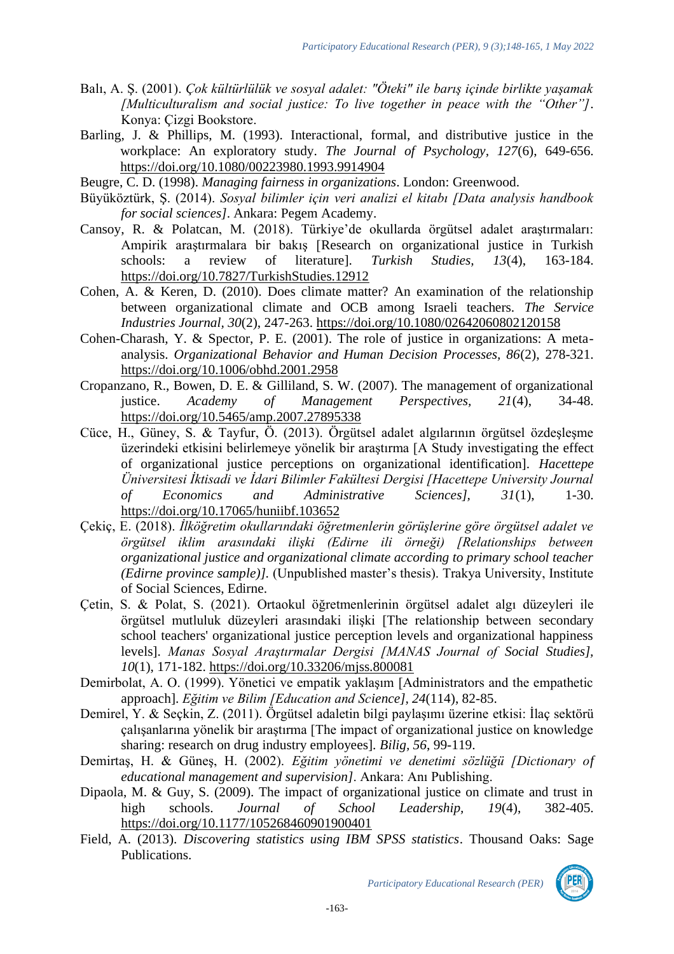- Balı, A. Ş. (2001). *Çok kültürlülük ve sosyal adalet: "Öteki" ile barış içinde birlikte yaşamak [Multiculturalism and social justice: To live together in peace with the "Other"]*. Konya: Çizgi Bookstore.
- Barling, J. & Phillips, M. (1993). Interactional, formal, and distributive justice in the workplace: An exploratory study. *The Journal of Psychology, 127*(6), 649-656. <https://doi.org/10.1080/00223980.1993.9914904>
- Beugre, C. D. (1998). *Managing fairness in organizations*. London: Greenwood.
- Büyüköztürk, Ş. (2014). *Sosyal bilimler için veri analizi el kitabı [Data analysis handbook for social sciences]*. Ankara: Pegem Academy.
- Cansoy, R. & Polatcan, M. (2018). Türkiye'de okullarda örgütsel adalet araştırmaları: Ampirik araştırmalara bir bakış [Research on organizational justice in Turkish schools: a review of literature]. *Turkish Studies, 13*(4), 163-184. <https://doi.org/10.7827/TurkishStudies.12912>
- Cohen, A. & Keren, D. (2010). Does climate matter? An examination of the relationship between organizational climate and OCB among Israeli teachers. *The Service Industries Journal, 30*(2), 247-263. <https://doi.org/10.1080/02642060802120158>
- Cohen-Charash, Y. & Spector, P. E. (2001). The role of justice in organizations: A metaanalysis. *Organizational Behavior and Human Decision Processes, 86*(2), 278-321. <https://doi.org/10.1006/obhd.2001.2958>
- Cropanzano, R., Bowen, D. E. & Gilliland, S. W. (2007). The management of organizational justice. *Academy of Management Perspectives, 21*(4), 34-48. <https://doi.org/10.5465/amp.2007.27895338>
- Cüce, H., Güney, S. & Tayfur, Ö. (2013). Örgütsel adalet algılarının örgütsel özdeşleşme üzerindeki etkisini belirlemeye yönelik bir araştırma [A Study investigating the effect of organizational justice perceptions on organizational identification]. *Hacettepe Üniversitesi İktisadi ve İdari Bilimler Fakültesi Dergisi [Hacettepe University Journal of Economics and Administrative Sciences], 31*(1), 1-30. <https://doi.org/10.17065/huniibf.103652>
- Çekiç, E. (2018). *İlköğretim okullarındaki öğretmenlerin görüşlerine göre örgütsel adalet ve örgütsel iklim arasındaki ilişki (Edirne ili örneği) [Relationships between organizational justice and organizational climate according to primary school teacher (Edirne province sample)].* (Unpublished master's thesis). Trakya University, Institute of Social Sciences, Edirne.
- Çetin, S. & Polat, S. (2021). Ortaokul öğretmenlerinin örgütsel adalet algı düzeyleri ile örgütsel mutluluk düzeyleri arasındaki ilişki [The relationship between secondary school teachers' organizational justice perception levels and organizational happiness levels]. *Manas Sosyal Araştırmalar Dergisi [MANAS Journal of Social Studies], 10*(1), 171-182.<https://doi.org/10.33206/mjss.800081>
- Demirbolat, A. O. (1999). Yönetici ve empatik yaklaşım [Administrators and the empathetic approach]. *Eğitim ve Bilim [Education and Science], 24*(114), 82-85.
- Demirel, Y. & Seçkin, Z. (2011). Örgütsel adaletin bilgi paylaşımı üzerine etkisi: İlaç sektörü çalışanlarına yönelik bir araştırma [The impact of organizational justice on knowledge sharing: research on drug industry employees]. *Bilig, 56*, 99-119.
- Demirtaş, H. & Güneş, H. (2002). *Eğitim yönetimi ve denetimi sözlüğü [Dictionary of educational management and supervision]*. Ankara: Anı Publishing.
- Dipaola, M. & Guy, S. (2009). The impact of organizational justice on climate and trust in high schools. *Journal of School Leadership, 19*(4), 382-405. [https://doi.org/10.1177/105268460901900401](https://doi.org/10.1177%2F105268460901900401)
- Field, A. (2013). *Discovering statistics using IBM SPSS statistics*. Thousand Oaks: Sage Publications.

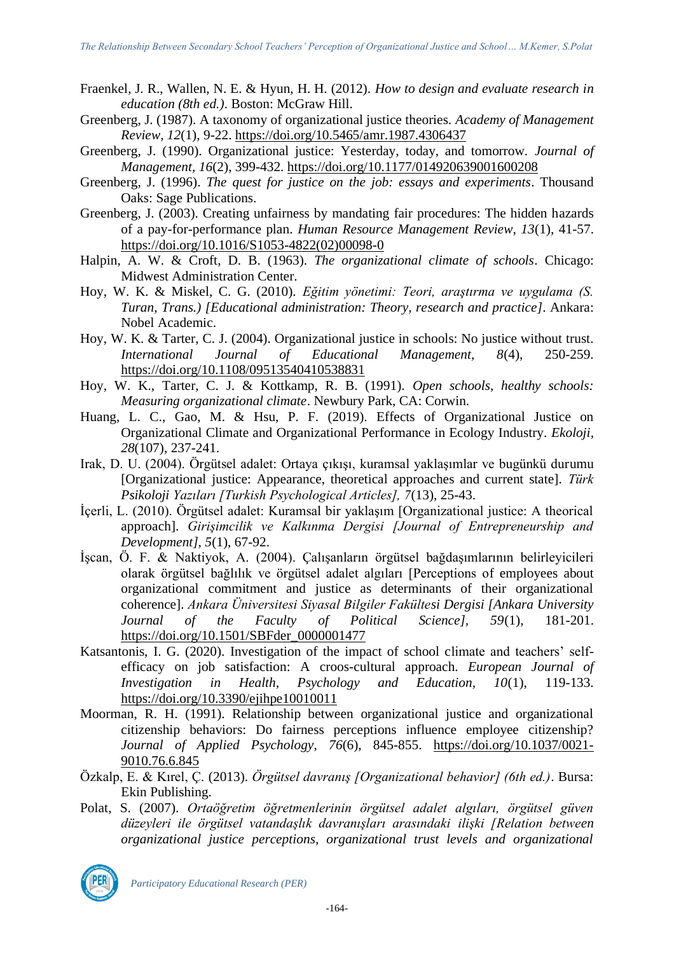- Fraenkel, J. R., Wallen, N. E. & Hyun, H. H. (2012). *How to design and evaluate research in education (8th ed.)*. Boston: McGraw Hill.
- Greenberg, J. (1987). A taxonomy of organizational justice theories. *Academy of Management Review, 12*(1), 9-22.<https://doi.org/10.5465/amr.1987.4306437>
- Greenberg, J. (1990). Organizational justice: Yesterday, today, and tomorrow. *Journal of Management, 16*(2), 399-432. [https://doi.org/10.1177/014920639001600208](https://doi.org/10.1177%2F014920639001600208)
- Greenberg, J. (1996). *The quest for justice on the job: essays and experiments*. Thousand Oaks: Sage Publications.
- Greenberg, J. (2003). Creating unfairness by mandating fair procedures: The hidden hazards of a pay-for-performance plan. *Human Resource Management Review, 13*(1), 41-57. [https://doi.org/10.1016/S1053-4822\(02\)00098-0](https://doi.org/10.1016/S1053-4822(02)00098-0)
- Halpin, A. W. & Croft, D. B. (1963). *The organizational climate of schools*. Chicago: Midwest Administration Center.
- Hoy, W. K. & Miskel, C. G. (2010). *Eğitim yönetimi: Teori, araştırma ve uygulama (S. Turan, Trans.) [Educational administration: Theory, research and practice]*. Ankara: Nobel Academic.
- Hoy, W. K. & Tarter, C. J. (2004). Organizational justice in schools: No justice without trust. *International Journal of Educational Management, 8*(4), 250-259. <https://doi.org/10.1108/09513540410538831>
- Hoy, W. K., Tarter, C. J. & Kottkamp, R. B. (1991). *Open schools, healthy schools: Measuring organizational climate*. Newbury Park, CA: Corwin.
- Huang, L. C., Gao, M. & Hsu, P. F. (2019). Effects of Organizational Justice on Organizational Climate and Organizational Performance in Ecology Industry. *Ekoloji, 28*(107), 237-241.
- Irak, D. U. (2004). Örgütsel adalet: Ortaya çıkışı, kuramsal yaklaşımlar ve bugünkü durumu [Organizational justice: Appearance, theoretical approaches and current state]. *Türk Psikoloji Yazıları [Turkish Psychological Articles], 7*(13), 25-43.
- İçerli, L. (2010). Örgütsel adalet: Kuramsal bir yaklaşım [Organizational justice: A theorical approach]. *Girişimcilik ve Kalkınma Dergisi [Journal of Entrepreneurship and Development], 5*(1), 67-92.
- İşcan, Ö. F. & Naktiyok, A. (2004). Çalışanların örgütsel bağdaşımlarının belirleyicileri olarak örgütsel bağlılık ve örgütsel adalet algıları [Perceptions of employees about organizational commitment and justice as determinants of their organizational coherence]. *Ankara Üniversitesi Siyasal Bilgiler Fakültesi Dergisi [Ankara University Journal of the Faculty of Political Science], 59*(1), 181-201. [https://doi.org/10.1501/SBFder\\_0000001477](https://doi.org/10.1501/SBFder_0000001477)
- Katsantonis, I. G. (2020). Investigation of the impact of school climate and teachers' selfefficacy on job satisfaction: A croos-cultural approach. *European Journal of Investigation in Health, Psychology and Education, 10*(1), 119-133. <https://doi.org/10.3390/ejihpe10010011>
- Moorman, R. H. (1991). Relationship between organizational justice and organizational citizenship behaviors: Do fairness perceptions influence employee citizenship? *Journal of Applied Psychology, 76*(6), 845-855. [https://doi.org/10.1037/0021-](https://doi.apa.org/doi/10.1037/0021-9010.76.6.845) [9010.76.6.845](https://doi.apa.org/doi/10.1037/0021-9010.76.6.845)
- Özkalp, E. & Kırel, Ç. (2013). *Örgütsel davranış [Organizational behavior] (6th ed.)*. Bursa: Ekin Publishing.
- Polat, S. (2007). *Ortaöğretim öğretmenlerinin örgütsel adalet algıları, örgütsel güven düzeyleri ile örgütsel vatandaşlık davranışları arasındaki ilişki [Relation between organizational justice perceptions, organizational trust levels and organizational*



*Participatory Educational Research (PER)*